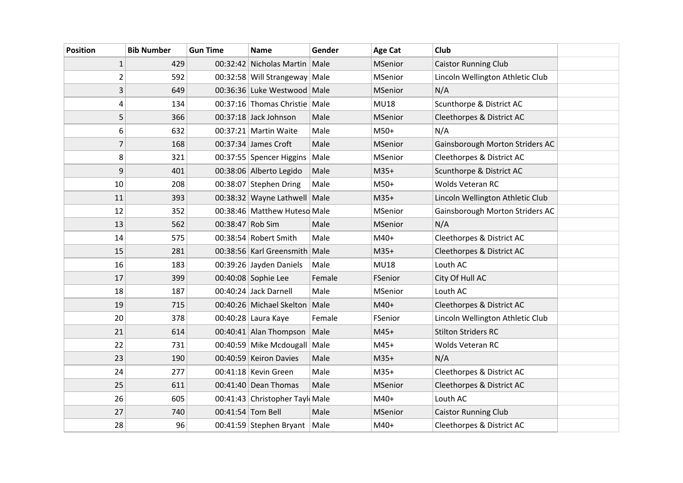| <b>Position</b> | <b>Bib Number</b> | <b>Gun Time</b>  | <b>Name</b>                     | Gender | <b>Age Cat</b> | Club                             |  |
|-----------------|-------------------|------------------|---------------------------------|--------|----------------|----------------------------------|--|
| $\mathbf{1}$    | 429               |                  | 00:32:42 Nicholas Martin        | Male   | MSenior        | <b>Caistor Running Club</b>      |  |
| $\overline{2}$  | 592               |                  | 00:32:58 Will Strangeway   Male |        | MSenior        | Lincoln Wellington Athletic Club |  |
| $\mathbf{3}$    | 649               |                  | 00:36:36 Luke Westwood Male     |        | MSenior        | N/A                              |  |
| 4               | 134               |                  | 00:37:16 Thomas Christie        | Male   | <b>MU18</b>    | Scunthorpe & District AC         |  |
| 5               | 366               |                  | 00:37:18 Jack Johnson           | Male   | MSenior        | Cleethorpes & District AC        |  |
| 6               | 632               |                  | 00:37:21 Martin Waite           | Male   | $M50+$         | N/A                              |  |
| 7               | 168               |                  | 00:37:34 James Croft            | Male   | MSenior        | Gainsborough Morton Striders AC  |  |
| 8               | 321               |                  | 00:37:55 Spencer Higgins        | Male   | MSenior        | Cleethorpes & District AC        |  |
| 9               | 401               |                  | 00:38:06 Alberto Legido         | Male   | $M35+$         | Scunthorpe & District AC         |  |
| 10              | 208               |                  | 00:38:07 Stephen Dring          | Male   | $M50+$         | <b>Wolds Veteran RC</b>          |  |
| 11              | 393               |                  | 00:38:32 Wayne Lathwell Male    |        | $M35+$         | Lincoln Wellington Athletic Club |  |
| 12              | 352               |                  | 00:38:46 Matthew Huteso Male    |        | MSenior        | Gainsborough Morton Striders AC  |  |
| 13              | 562               | 00:38:47 Rob Sim |                                 | Male   | <b>MSenior</b> | N/A                              |  |
| 14              | 575               |                  | 00:38:54 Robert Smith           | Male   | M40+           | Cleethorpes & District AC        |  |
| 15              | 281               |                  | 00:38:56 Karl Greensmith        | Male   | $M35+$         | Cleethorpes & District AC        |  |
| 16              | 183               |                  | 00:39:26 Jayden Daniels         | Male   | <b>MU18</b>    | Louth AC                         |  |
| 17              | 399               |                  | 00:40:08 Sophie Lee             | Female | FSenior        | City Of Hull AC                  |  |
| 18              | 187               |                  | 00:40:24 Jack Darnell           | Male   | MSenior        | Louth AC                         |  |
| 19              | 715               |                  | 00:40:26 Michael Skelton        | Male   | $M40+$         | Cleethorpes & District AC        |  |
| 20              | 378               |                  | 00:40:28 Laura Kaye             | Female | FSenior        | Lincoln Wellington Athletic Club |  |
| 21              | 614               |                  | 00:40:41 Alan Thompson          | Male   | $M45+$         | <b>Stilton Striders RC</b>       |  |
| 22              | 731               |                  | 00:40:59 Mike Mcdougall         | Male   | $M45+$         | <b>Wolds Veteran RC</b>          |  |
| 23              | 190               |                  | 00:40:59 Keiron Davies          | Male   | $M35+$         | N/A                              |  |
| 24              | 277               |                  | 00:41:18 Kevin Green            | Male   | $M35+$         | Cleethorpes & District AC        |  |
| 25              | 611               |                  | $00:41:40$ Dean Thomas          | Male   | <b>MSenior</b> | Cleethorpes & District AC        |  |
| 26              | 605               |                  | 00:41:43 Christopher Tayl Male  |        | $M40+$         | Louth AC                         |  |
| 27              | 740               |                  | 00:41:54 Tom Bell               | Male   | <b>MSenior</b> | <b>Caistor Running Club</b>      |  |
| 28              | 96                |                  | 00:41:59 Stephen Bryant   Male  |        | $M40+$         | Cleethorpes & District AC        |  |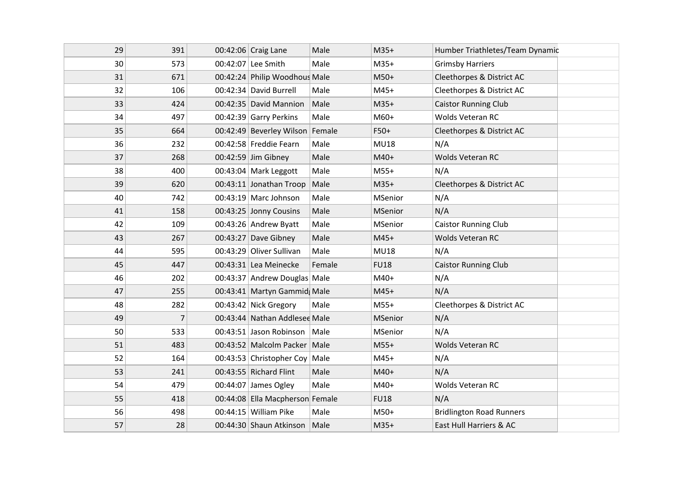| 29 | 391 | 00:42:06 Craig Lane             | Male   | $M35+$      | Humber Triathletes/Team Dynamic |
|----|-----|---------------------------------|--------|-------------|---------------------------------|
| 30 | 573 | 00:42:07 Lee Smith              | Male   | $M35+$      | <b>Grimsby Harriers</b>         |
| 31 | 671 | 00:42:24 Philip Woodhous Male   |        | $M50+$      | Cleethorpes & District AC       |
| 32 | 106 | 00:42:34 David Burrell          | Male   | $M45+$      | Cleethorpes & District AC       |
| 33 | 424 | 00:42:35 David Mannion          | Male   | $M35+$      | <b>Caistor Running Club</b>     |
| 34 | 497 | 00:42:39 Garry Perkins          | Male   | $M60+$      | <b>Wolds Veteran RC</b>         |
| 35 | 664 | 00:42:49 Beverley Wilson Female |        | $F50+$      | Cleethorpes & District AC       |
| 36 | 232 | 00:42:58 Freddie Fearn          | Male   | <b>MU18</b> | N/A                             |
| 37 | 268 | 00:42:59 Jim Gibney             | Male   | $M40+$      | <b>Wolds Veteran RC</b>         |
| 38 | 400 | 00:43:04 Mark Leggott           | Male   | $M55+$      | N/A                             |
| 39 | 620 | 00:43:11 Jonathan Troop         | Male   | $M35+$      | Cleethorpes & District AC       |
| 40 | 742 | 00:43:19 Marc Johnson           | Male   | MSenior     | N/A                             |
| 41 | 158 | 00:43:25 Jonny Cousins          | Male   | MSenior     | N/A                             |
| 42 | 109 | 00:43:26 Andrew Byatt           | Male   | MSenior     | <b>Caistor Running Club</b>     |
| 43 | 267 | 00:43:27 Dave Gibney            | Male   | $M45+$      | <b>Wolds Veteran RC</b>         |
| 44 | 595 | 00:43:29 Oliver Sullivan        | Male   | <b>MU18</b> | N/A                             |
| 45 | 447 | 00:43:31 Lea Meinecke           | Female | <b>FU18</b> | <b>Caistor Running Club</b>     |
| 46 | 202 | 00:43:37 Andrew Douglas Male    |        | M40+        | N/A                             |
| 47 | 255 | 00:43:41 Martyn Gammid Male     |        | $M45+$      | N/A                             |
| 48 | 282 | 00:43:42 Nick Gregory           | Male   | $M55+$      | Cleethorpes & District AC       |
| 49 | 7   | 00:43:44 Nathan Addlesee Male   |        | MSenior     | N/A                             |
| 50 | 533 | 00:43:51 Jason Robinson         | Male   | MSenior     | N/A                             |
| 51 | 483 | 00:43:52 Malcolm Packer   Male  |        | $M55+$      | Wolds Veteran RC                |
| 52 | 164 | 00:43:53 Christopher Coy   Male |        | $M45+$      | N/A                             |
| 53 | 241 | 00:43:55 Richard Flint          | Male   | $M40+$      | N/A                             |
| 54 | 479 | 00:44:07 James Ogley            | Male   | M40+        | <b>Wolds Veteran RC</b>         |
| 55 | 418 | 00:44:08 Ella Macpherson Female |        | <b>FU18</b> | N/A                             |
| 56 | 498 | 00:44:15 William Pike           | Male   | $M50+$      | <b>Bridlington Road Runners</b> |
| 57 | 28  | 00:44:30 Shaun Atkinson Male    |        | $M35+$      | East Hull Harriers & AC         |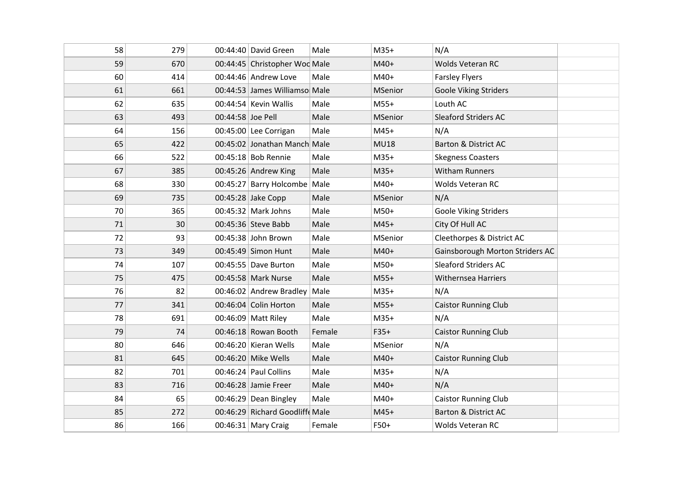| 58 | 279 |                   | $00:44:40$ David Green         | Male   | $M35+$         | N/A                             |  |
|----|-----|-------------------|--------------------------------|--------|----------------|---------------------------------|--|
| 59 | 670 |                   | 00:44:45 Christopher Wod Male  |        | $M40+$         | <b>Wolds Veteran RC</b>         |  |
| 60 | 414 |                   | 00:44:46 Andrew Love           | Male   | $M40+$         | <b>Farsley Flyers</b>           |  |
| 61 | 661 |                   | 00:44:53 James Williamso Male  |        | <b>MSenior</b> | <b>Goole Viking Striders</b>    |  |
| 62 | 635 |                   | $00:44:54$ Kevin Wallis        | Male   | $M55+$         | Louth AC                        |  |
| 63 | 493 | 00:44:58 Joe Pell |                                | Male   | <b>MSenior</b> | <b>Sleaford Striders AC</b>     |  |
| 64 | 156 |                   | 00:45:00 Lee Corrigan          | Male   | $M45+$         | N/A                             |  |
| 65 | 422 |                   | 00:45:02 Jonathan Manch Male   |        | <b>MU18</b>    | Barton & District AC            |  |
| 66 | 522 |                   | 00:45:18 Bob Rennie            | Male   | $M35+$         | <b>Skegness Coasters</b>        |  |
| 67 | 385 |                   | 00:45:26 Andrew King           | Male   | $M35+$         | <b>Witham Runners</b>           |  |
| 68 | 330 |                   | 00:45:27 Barry Holcombe Male   |        | $M40+$         | <b>Wolds Veteran RC</b>         |  |
| 69 | 735 |                   | 00:45:28 Jake Copp             | Male   | MSenior        | N/A                             |  |
| 70 | 365 |                   | 00:45:32 Mark Johns            | Male   | $M50+$         | <b>Goole Viking Striders</b>    |  |
| 71 | 30  |                   | 00:45:36 Steve Babb            | Male   | $M45+$         | City Of Hull AC                 |  |
| 72 | 93  |                   | 00:45:38 John Brown            | Male   | MSenior        | Cleethorpes & District AC       |  |
| 73 | 349 |                   | 00:45:49 Simon Hunt            | Male   | $M40+$         | Gainsborough Morton Striders AC |  |
| 74 | 107 |                   | 00:45:55 Dave Burton           | Male   | $M50+$         | <b>Sleaford Striders AC</b>     |  |
| 75 | 475 |                   | 00:45:58 Mark Nurse            | Male   | $M55+$         | <b>Withernsea Harriers</b>      |  |
| 76 | 82  |                   | 00:46:02 Andrew Bradley        | Male   | $M35+$         | N/A                             |  |
| 77 | 341 |                   | 00:46:04 Colin Horton          | Male   | $M55+$         | <b>Caistor Running Club</b>     |  |
| 78 | 691 |                   | $00:46:09$ Matt Riley          | Male   | $M35+$         | N/A                             |  |
| 79 | 74  |                   | 00:46:18 Rowan Booth           | Female | $F35+$         | <b>Caistor Running Club</b>     |  |
| 80 | 646 |                   | $00:46:20$ Kieran Wells        | Male   | <b>MSenior</b> | N/A                             |  |
| 81 | 645 |                   | $00:46:20$ Mike Wells          | Male   | $M40+$         | <b>Caistor Running Club</b>     |  |
| 82 | 701 |                   | $00:46:24$ Paul Collins        | Male   | $M35+$         | N/A                             |  |
| 83 | 716 |                   | 00:46:28 Jamie Freer           | Male   | $M40+$         | N/A                             |  |
| 84 | 65  |                   | 00:46:29 Dean Bingley          | Male   | M40+           | <b>Caistor Running Club</b>     |  |
| 85 | 272 |                   | 00:46:29 Richard Goodliff Male |        | $M45+$         | Barton & District AC            |  |
| 86 | 166 |                   | 00:46:31 Mary Craig            | Female | $F50+$         | Wolds Veteran RC                |  |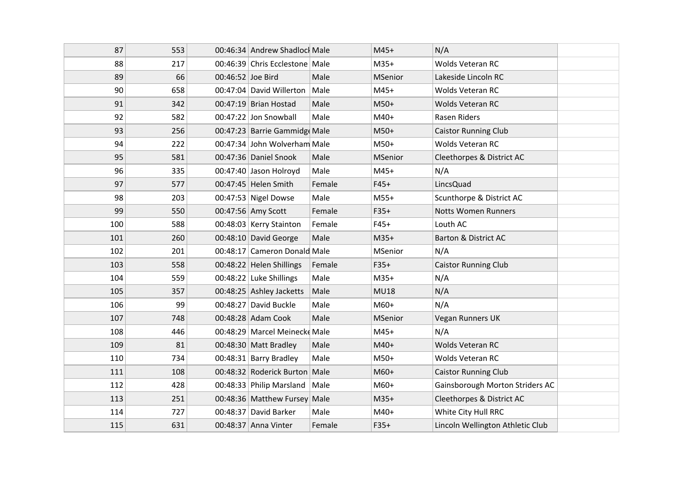| 87  | 553 |                   | 00:46:34 Andrew Shadloc Male   |        | $M45+$         | N/A                              |  |
|-----|-----|-------------------|--------------------------------|--------|----------------|----------------------------------|--|
| 88  | 217 |                   | 00:46:39 Chris Ecclestone Male |        | $M35+$         | <b>Wolds Veteran RC</b>          |  |
| 89  | 66  | 00:46:52 Joe Bird |                                | Male   | <b>MSenior</b> | Lakeside Lincoln RC              |  |
| 90  | 658 |                   | 00:47:04 David Willerton       | Male   | $M45+$         | <b>Wolds Veteran RC</b>          |  |
| 91  | 342 |                   | 00:47:19 Brian Hostad          | Male   | $M50+$         | Wolds Veteran RC                 |  |
| 92  | 582 |                   | $00:47:22$ Jon Snowball        | Male   | M40+           | Rasen Riders                     |  |
| 93  | 256 |                   | 00:47:23 Barrie Gammidge Male  |        | $M50+$         | <b>Caistor Running Club</b>      |  |
| 94  | 222 |                   | 00:47:34 John Wolverham Male   |        | $M50+$         | <b>Wolds Veteran RC</b>          |  |
| 95  | 581 |                   | 00:47:36 Daniel Snook          | Male   | MSenior        | Cleethorpes & District AC        |  |
| 96  | 335 |                   | 00:47:40 Jason Holroyd         | Male   | $M45+$         | N/A                              |  |
| 97  | 577 |                   | 00:47:45 Helen Smith           | Female | $F45+$         | LincsQuad                        |  |
| 98  | 203 |                   | 00:47:53 Nigel Dowse           | Male   | $M55+$         | Scunthorpe & District AC         |  |
| 99  | 550 |                   | 00:47:56 Amy Scott             | Female | $F35+$         | <b>Notts Women Runners</b>       |  |
| 100 | 588 |                   | 00:48:03 Kerry Stainton        | Female | $F45+$         | Louth AC                         |  |
| 101 | 260 |                   | 00:48:10 David George          | Male   | $M35+$         | Barton & District AC             |  |
| 102 | 201 |                   | 00:48:17 Cameron Donald Male   |        | <b>MSenior</b> | N/A                              |  |
| 103 | 558 |                   | 00:48:22 Helen Shillings       | Female | $F35+$         | <b>Caistor Running Club</b>      |  |
| 104 | 559 |                   | 00:48:22 Luke Shillings        | Male   | $M35+$         | N/A                              |  |
| 105 | 357 |                   | 00:48:25 Ashley Jacketts       | Male   | <b>MU18</b>    | N/A                              |  |
| 106 | 99  |                   | 00:48:27 David Buckle          | Male   | $M60+$         | N/A                              |  |
| 107 | 748 |                   | 00:48:28 Adam Cook             | Male   | <b>MSenior</b> | Vegan Runners UK                 |  |
| 108 | 446 |                   | 00:48:29 Marcel Meinecke Male  |        | $M45+$         | N/A                              |  |
| 109 | 81  |                   | 00:48:30 Matt Bradley          | Male   | $M40+$         | Wolds Veteran RC                 |  |
| 110 | 734 |                   | $00:48:31$ Barry Bradley       | Male   | $M50+$         | <b>Wolds Veteran RC</b>          |  |
| 111 | 108 |                   | 00:48:32 Roderick Burton Male  |        | $M60+$         | <b>Caistor Running Club</b>      |  |
| 112 | 428 |                   | 00:48:33 Philip Marsland       | Male   | M60+           | Gainsborough Morton Striders AC  |  |
| 113 | 251 |                   | 00:48:36 Matthew Fursey Male   |        | $M35+$         | Cleethorpes & District AC        |  |
| 114 | 727 |                   | 00:48:37 David Barker          | Male   | M40+           | White City Hull RRC              |  |
| 115 | 631 |                   | 00:48:37 Anna Vinter           | Female | $F35+$         | Lincoln Wellington Athletic Club |  |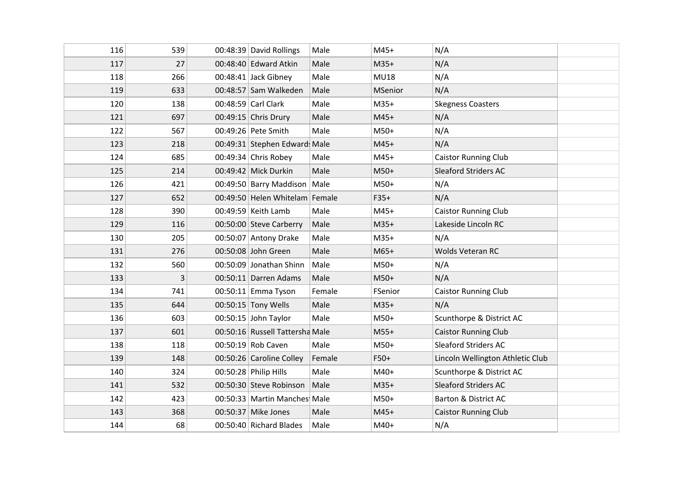| 116 | 539 | 00:48:39 David Rollings         | Male   | $M45+$         | N/A                              |  |
|-----|-----|---------------------------------|--------|----------------|----------------------------------|--|
| 117 | 27  | $00:48:40$ Edward Atkin         | Male   | $M35+$         | N/A                              |  |
| 118 | 266 | 00:48:41 Jack Gibney            | Male   | <b>MU18</b>    | N/A                              |  |
| 119 | 633 | 00:48:57 Sam Walkeden           | Male   | <b>MSenior</b> | N/A                              |  |
| 120 | 138 | 00:48:59 Carl Clark             | Male   | $M35+$         | <b>Skegness Coasters</b>         |  |
| 121 | 697 | 00:49:15 Chris Drury            | Male   | $M45+$         | N/A                              |  |
| 122 | 567 | 00:49:26 Pete Smith             | Male   | $M50+$         | N/A                              |  |
| 123 | 218 | 00:49:31 Stephen Edward Male    |        | $M45+$         | N/A                              |  |
| 124 | 685 | 00:49:34 Chris Robey            | Male   | $M45+$         | <b>Caistor Running Club</b>      |  |
| 125 | 214 | 00:49:42 Mick Durkin            | Male   | $M50+$         | <b>Sleaford Striders AC</b>      |  |
| 126 | 421 | 00:49:50 Barry Maddison   Male  |        | $M50+$         | N/A                              |  |
| 127 | 652 | 00:49:50 Helen Whitelam Female  |        | $F35+$         | N/A                              |  |
| 128 | 390 | 00:49:59 Keith Lamb             | Male   | $M45+$         | <b>Caistor Running Club</b>      |  |
| 129 | 116 | 00:50:00 Steve Carberry         | Male   | $M35+$         | Lakeside Lincoln RC              |  |
| 130 | 205 | 00:50:07 Antony Drake           | Male   | $M35+$         | N/A                              |  |
| 131 | 276 | 00:50:08 John Green             | Male   | $M65+$         | Wolds Veteran RC                 |  |
| 132 | 560 | 00:50:09 Jonathan Shinn         | Male   | $M50+$         | N/A                              |  |
| 133 | 3   | $00:50:11$ Darren Adams         | Male   | $M50+$         | N/A                              |  |
| 134 | 741 | 00:50:11 Emma Tyson             | Female | FSenior        | Caistor Running Club             |  |
| 135 | 644 | 00:50:15 Tony Wells             | Male   | $M35+$         | N/A                              |  |
| 136 | 603 | 00:50:15 John Taylor            | Male   | $M50+$         | Scunthorpe & District AC         |  |
| 137 | 601 | 00:50:16 Russell Tattersha Male |        | $M55+$         | <b>Caistor Running Club</b>      |  |
| 138 | 118 | 00:50:19 Rob Caven              | Male   | $M50+$         | <b>Sleaford Striders AC</b>      |  |
| 139 | 148 | 00:50:26 Caroline Colley        | Female | $F50+$         | Lincoln Wellington Athletic Club |  |
| 140 | 324 | $00:50:28$ Philip Hills         | Male   | $M40+$         | Scunthorpe & District AC         |  |
| 141 | 532 | 00:50:30 Steve Robinson         | Male   | $M35+$         | <b>Sleaford Striders AC</b>      |  |
| 142 | 423 | 00:50:33 Martin Manches Male    |        | $M50+$         | Barton & District AC             |  |
| 143 | 368 | 00:50:37 Mike Jones             | Male   | $M45+$         | <b>Caistor Running Club</b>      |  |
| 144 | 68  | 00:50:40 Richard Blades         | Male   | $M40+$         | N/A                              |  |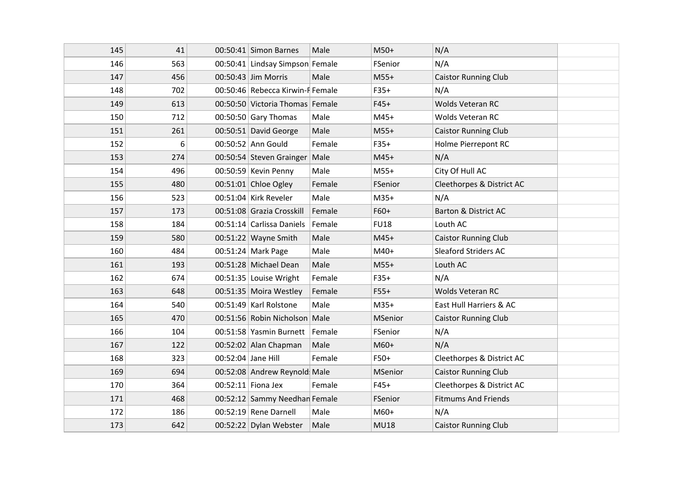| 145 | 41  |                    | 00:50:41 Simon Barnes            | Male   | $M50+$         | N/A                         |  |
|-----|-----|--------------------|----------------------------------|--------|----------------|-----------------------------|--|
| 146 | 563 |                    | 00:50:41 Lindsay Simpson Female  |        | FSenior        | N/A                         |  |
| 147 | 456 |                    | 00:50:43 Jim Morris              | Male   | $M55+$         | <b>Caistor Running Club</b> |  |
| 148 | 702 |                    | 00:50:46 Rebecca Kirwin-F Female |        | $F35+$         | N/A                         |  |
| 149 | 613 |                    | 00:50:50 Victoria Thomas Female  |        | $F45+$         | <b>Wolds Veteran RC</b>     |  |
| 150 | 712 |                    | 00:50:50 Gary Thomas             | Male   | $M45+$         | Wolds Veteran RC            |  |
| 151 | 261 |                    | 00:50:51 David George            | Male   | $M55+$         | <b>Caistor Running Club</b> |  |
| 152 | 6   |                    | 00:50:52 Ann Gould               | Female | $F35+$         | Holme Pierrepont RC         |  |
| 153 | 274 |                    | 00:50:54 Steven Grainger         | Male   | $M45+$         | N/A                         |  |
| 154 | 496 |                    | 00:50:59 Kevin Penny             | Male   | $M55+$         | City Of Hull AC             |  |
| 155 | 480 |                    | $00:51:01$ Chloe Ogley           | Female | FSenior        | Cleethorpes & District AC   |  |
| 156 | 523 |                    | 00:51:04 Kirk Reveler            | Male   | $M35+$         | N/A                         |  |
| 157 | 173 |                    | 00:51:08 Grazia Crosskill        | Female | $F60+$         | Barton & District AC        |  |
| 158 | 184 |                    | 00:51:14 Carlissa Daniels        | Female | <b>FU18</b>    | Louth AC                    |  |
| 159 | 580 |                    | 00:51:22 Wayne Smith             | Male   | $M45+$         | <b>Caistor Running Club</b> |  |
| 160 | 484 |                    | 00:51:24 Mark Page               | Male   | M40+           | <b>Sleaford Striders AC</b> |  |
| 161 | 193 |                    | 00:51:28 Michael Dean            | Male   | $M55+$         | Louth AC                    |  |
| 162 | 674 |                    | $00:51:35$ Louise Wright         | Female | $F35+$         | N/A                         |  |
| 163 | 648 |                    | 00:51:35 Moira Westley           | Female | $F55+$         | Wolds Veteran RC            |  |
| 164 | 540 |                    | 00:51:49 Karl Rolstone           | Male   | $M35+$         | East Hull Harriers & AC     |  |
| 165 | 470 |                    | 00:51:56 Robin Nicholson Male    |        | MSenior        | <b>Caistor Running Club</b> |  |
| 166 | 104 |                    | 00:51:58 Yasmin Burnett          | Female | FSenior        | N/A                         |  |
| 167 | 122 |                    | 00:52:02 Alan Chapman            | Male   | $M60+$         | N/A                         |  |
| 168 | 323 | 00:52:04 Jane Hill |                                  | Female | $F50+$         | Cleethorpes & District AC   |  |
| 169 | 694 |                    | 00:52:08 Andrew Reynold Male     |        | <b>MSenior</b> | <b>Caistor Running Club</b> |  |
| 170 | 364 |                    | $00:52:11$ Fiona Jex             | Female | $F45+$         | Cleethorpes & District AC   |  |
| 171 | 468 |                    | 00:52:12 Sammy Needhan Female    |        | FSenior        | <b>Fitmums And Friends</b>  |  |
| 172 | 186 |                    | $00:52:19$ Rene Darnell          | Male   | $M60+$         | N/A                         |  |
| 173 | 642 |                    | 00:52:22 Dylan Webster           | Male   | <b>MU18</b>    | <b>Caistor Running Club</b> |  |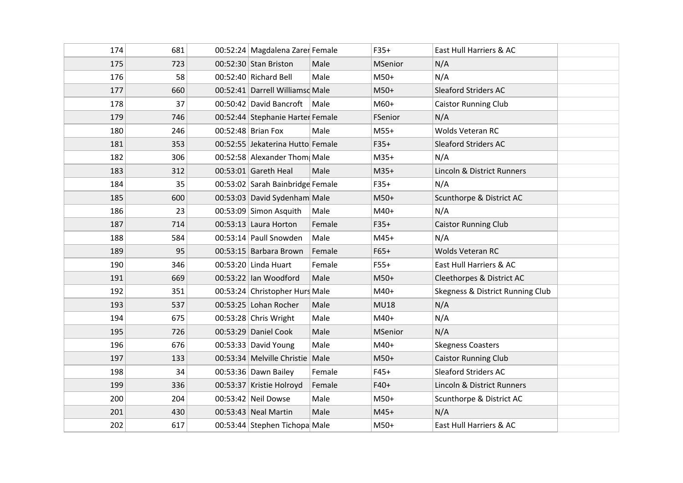| 174 | 681 | 00:52:24 Magdalena Zarer Female  |        | $F35+$         | East Hull Harriers & AC          |  |
|-----|-----|----------------------------------|--------|----------------|----------------------------------|--|
| 175 | 723 | $00:52:30$ Stan Briston          | Male   | <b>MSenior</b> | N/A                              |  |
| 176 | 58  | 00:52:40 Richard Bell            | Male   | $M50+$         | N/A                              |  |
| 177 | 660 | 00:52:41 Darrell Williamsd Male  |        | $M50+$         | <b>Sleaford Striders AC</b>      |  |
| 178 | 37  | $00:50:42$ David Bancroft        | Male   | $M60+$         | <b>Caistor Running Club</b>      |  |
| 179 | 746 | 00:52:44 Stephanie Harter Female |        | FSenior        | N/A                              |  |
| 180 | 246 | $00:52:48$ Brian Fox             | Male   | $M55+$         | <b>Wolds Veteran RC</b>          |  |
| 181 | 353 | 00:52:55 Jekaterina Hutto Female |        | $F35+$         | <b>Sleaford Striders AC</b>      |  |
| 182 | 306 | 00:52:58 Alexander Thom Male     |        | $M35+$         | N/A                              |  |
| 183 | 312 | 00:53:01 Gareth Heal             | Male   | $M35+$         | Lincoln & District Runners       |  |
| 184 | 35  | 00:53:02 Sarah Bainbridge Female |        | $F35+$         | N/A                              |  |
| 185 | 600 | 00:53:03 David Sydenham Male     |        | $M50+$         | Scunthorpe & District AC         |  |
| 186 | 23  | 00:53:09 Simon Asquith           | Male   | M40+           | N/A                              |  |
| 187 | 714 | $00:53:13$ Laura Horton          | Female | $F35+$         | <b>Caistor Running Club</b>      |  |
| 188 | 584 | $00:53:14$ Paull Snowden         | Male   | $M45+$         | N/A                              |  |
| 189 | 95  | 00:53:15 Barbara Brown           | Female | $F65+$         | Wolds Veteran RC                 |  |
| 190 | 346 | 00:53:20 Linda Huart             | Female | $F55+$         | East Hull Harriers & AC          |  |
| 191 | 669 | $00:53:22$ lan Woodford          | Male   | $M50+$         | Cleethorpes & District AC        |  |
| 192 | 351 | 00:53:24 Christopher Hurs Male   |        | $M40+$         | Skegness & District Running Club |  |
| 193 | 537 | $00:53:25$ Lohan Rocher          | Male   | <b>MU18</b>    | N/A                              |  |
| 194 | 675 | $00:53:28$ Chris Wright          | Male   | $M40+$         | N/A                              |  |
| 195 | 726 | 00:53:29 Daniel Cook             | Male   | MSenior        | N/A                              |  |
| 196 | 676 | 00:53:33 David Young             | Male   | $M40+$         | <b>Skegness Coasters</b>         |  |
| 197 | 133 | 00:53:34 Melville Christie Male  |        | $M50+$         | <b>Caistor Running Club</b>      |  |
| 198 | 34  | 00:53:36 Dawn Bailey             | Female | $F45+$         | <b>Sleaford Striders AC</b>      |  |
| 199 | 336 | 00:53:37 Kristie Holroyd         | Female | $F40+$         | Lincoln & District Runners       |  |
| 200 | 204 | 00:53:42 Neil Dowse              | Male   | $M50+$         | Scunthorpe & District AC         |  |
| 201 | 430 | 00:53:43 Neal Martin             | Male   | $M45+$         | N/A                              |  |
| 202 | 617 | 00:53:44 Stephen Tichopa Male    |        | $M50+$         | East Hull Harriers & AC          |  |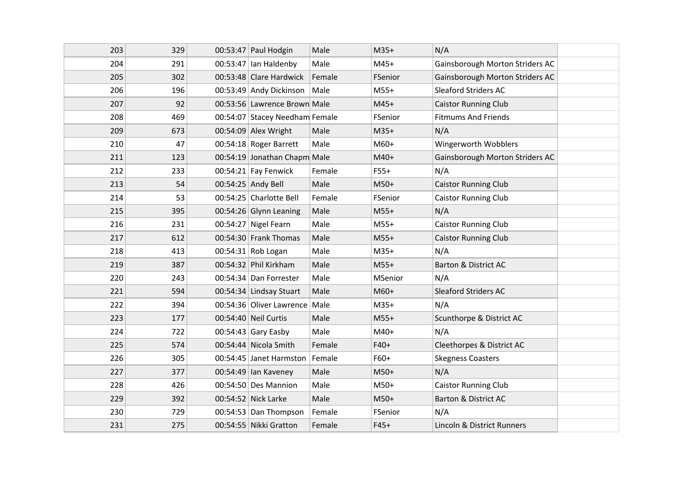| 203 | 329 | $00:53:47$ Paul Hodgin         | Male   | $M35+$  | N/A                             |  |
|-----|-----|--------------------------------|--------|---------|---------------------------------|--|
| 204 | 291 | 00:53:47 $ $ lan Haldenby      | Male   | $M45+$  | Gainsborough Morton Striders AC |  |
| 205 | 302 | 00:53:48 Clare Hardwick        | Female | FSenior | Gainsborough Morton Striders AC |  |
| 206 | 196 | 00:53:49 Andy Dickinson        | Male   | $M55+$  | <b>Sleaford Striders AC</b>     |  |
| 207 | 92  | 00:53:56 Lawrence Brown Male   |        | $M45+$  | <b>Caistor Running Club</b>     |  |
| 208 | 469 | 00:54:07 Stacey Needham Female |        | FSenior | <b>Fitmums And Friends</b>      |  |
| 209 | 673 | $00:54:09$ Alex Wright         | Male   | $M35+$  | N/A                             |  |
| 210 | 47  | 00:54:18 Roger Barrett         | Male   | M60+    | Wingerworth Wobblers            |  |
| 211 | 123 | 00:54:19 Jonathan Chapm Male   |        | $M40+$  | Gainsborough Morton Striders AC |  |
| 212 | 233 | 00:54:21 Fay Fenwick           | Female | $F55+$  | N/A                             |  |
| 213 | 54  | 00:54:25 Andy Bell             | Male   | $M50+$  | <b>Caistor Running Club</b>     |  |
| 214 | 53  | 00:54:25 Charlotte Bell        | Female | FSenior | <b>Caistor Running Club</b>     |  |
| 215 | 395 | 00:54:26 Glynn Leaning         | Male   | $M55+$  | N/A                             |  |
| 216 | 231 | 00:54:27 Nigel Fearn           | Male   | $M55+$  | <b>Caistor Running Club</b>     |  |
| 217 | 612 | 00:54:30 Frank Thomas          | Male   | $M55+$  | <b>Caistor Running Club</b>     |  |
| 218 | 413 | 00:54:31 Rob Logan             | Male   | $M35+$  | N/A                             |  |
| 219 | 387 | 00:54:32 Phil Kirkham          | Male   | $M55+$  | Barton & District AC            |  |
| 220 | 243 | 00:54:34 Dan Forrester         | Male   | MSenior | N/A                             |  |
| 221 | 594 | 00:54:34 Lindsay Stuart        | Male   | $M60+$  | <b>Sleaford Striders AC</b>     |  |
| 222 | 394 | 00:54:36 Oliver Lawrence       | Male   | $M35+$  | N/A                             |  |
| 223 | 177 | 00:54:40 Neil Curtis           | Male   | $M55+$  | Scunthorpe & District AC        |  |
| 224 | 722 | 00:54:43 Gary Easby            | Male   | $M40+$  | N/A                             |  |
| 225 | 574 | 00:54:44 Nicola Smith          | Female | $F40+$  | Cleethorpes & District AC       |  |
| 226 | 305 | 00:54:45 Janet Harmston        | Female | $F60+$  | <b>Skegness Coasters</b>        |  |
| 227 | 377 | 00:54:49 $ $ lan Kaveney       | Male   | $M50+$  | N/A                             |  |
| 228 | 426 | 00:54:50 Des Mannion           | Male   | $M50+$  | <b>Caistor Running Club</b>     |  |
| 229 | 392 | 00:54:52 Nick Larke            | Male   | $M50+$  | Barton & District AC            |  |
| 230 | 729 | 00:54:53 Dan Thompson          | Female | FSenior | N/A                             |  |
| 231 | 275 | 00:54:55 Nikki Gratton         | Female | $F45+$  | Lincoln & District Runners      |  |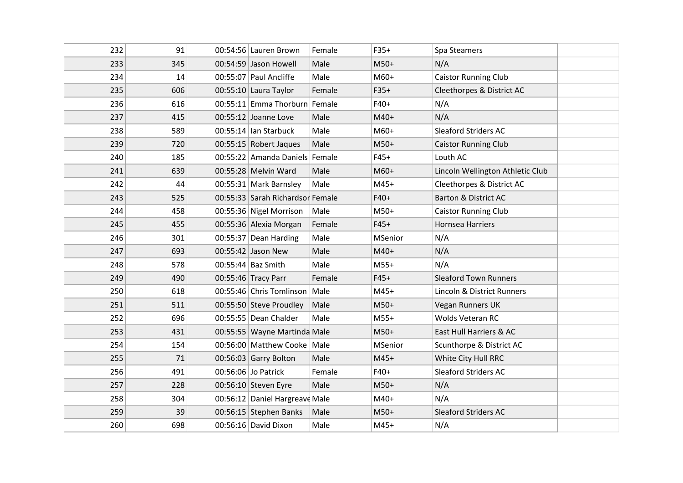| 232 | 91  | 00:54:56 Lauren Brown            | Female | $F35+$         | Spa Steamers                     |  |
|-----|-----|----------------------------------|--------|----------------|----------------------------------|--|
| 233 | 345 | 00:54:59 Jason Howell            | Male   | $M50+$         | N/A                              |  |
| 234 | 14  | $00:55:07$ Paul Ancliffe         | Male   | $M60+$         | <b>Caistor Running Club</b>      |  |
| 235 | 606 | $00:55:10$ Laura Taylor          | Female | $F35+$         | Cleethorpes & District AC        |  |
| 236 | 616 | 00:55:11 Emma Thorburn Female    |        | $F40+$         | N/A                              |  |
| 237 | 415 | $00:55:12$ Joanne Love           | Male   | $M40+$         | N/A                              |  |
| 238 | 589 | $00:55:14$ Ian Starbuck          | Male   | $M60+$         | <b>Sleaford Striders AC</b>      |  |
| 239 | 720 | 00:55:15 Robert Jaques           | Male   | $M50+$         | <b>Caistor Running Club</b>      |  |
| 240 | 185 | 00:55:22 Amanda Daniels Female   |        | $F45+$         | Louth AC                         |  |
| 241 | 639 | 00:55:28 Melvin Ward             | Male   | $M60+$         | Lincoln Wellington Athletic Club |  |
| 242 | 44  | 00:55:31 Mark Barnsley           | Male   | $M45+$         | Cleethorpes & District AC        |  |
| 243 | 525 | 00:55:33 Sarah Richardsor Female |        | $F40+$         | Barton & District AC             |  |
| 244 | 458 | 00:55:36 Nigel Morrison          | Male   | $M50+$         | <b>Caistor Running Club</b>      |  |
| 245 | 455 | 00:55:36 Alexia Morgan           | Female | $F45+$         | <b>Hornsea Harriers</b>          |  |
| 246 | 301 | 00:55:37 Dean Harding            | Male   | MSenior        | N/A                              |  |
| 247 | 693 | 00:55:42 Jason New               | Male   | $M40+$         | N/A                              |  |
| 248 | 578 | $00:55:44$ Baz Smith             | Male   | $M55+$         | N/A                              |  |
| 249 | 490 | 00:55:46 Tracy Parr              | Female | $F45+$         | <b>Sleaford Town Runners</b>     |  |
| 250 | 618 | 00:55:46 Chris Tomlinson Male    |        | $M45+$         | Lincoln & District Runners       |  |
| 251 | 511 | 00:55:50 Steve Proudley          | Male   | $M50+$         | Vegan Runners UK                 |  |
| 252 | 696 | $00:55:55$ Dean Chalder          | Male   | $M55+$         | <b>Wolds Veteran RC</b>          |  |
| 253 | 431 | 00:55:55 Wayne Martinda Male     |        | $M50+$         | East Hull Harriers & AC          |  |
| 254 | 154 | 00:56:00 Matthew Cooke Male      |        | <b>MSenior</b> | Scunthorpe & District AC         |  |
| 255 | 71  | 00:56:03 Garry Bolton            | Male   | $M45+$         | White City Hull RRC              |  |
| 256 | 491 | 00:56:06 Jo Patrick              | Female | $F40+$         | <b>Sleaford Striders AC</b>      |  |
| 257 | 228 | 00:56:10 Steven Eyre             | Male   | $M50+$         | N/A                              |  |
| 258 | 304 | 00:56:12 Daniel Hargreave Male   |        | M40+           | N/A                              |  |
| 259 | 39  | 00:56:15 Stephen Banks           | Male   | $M50+$         | <b>Sleaford Striders AC</b>      |  |
| 260 | 698 | 00:56:16 David Dixon             | Male   | $M45+$         | N/A                              |  |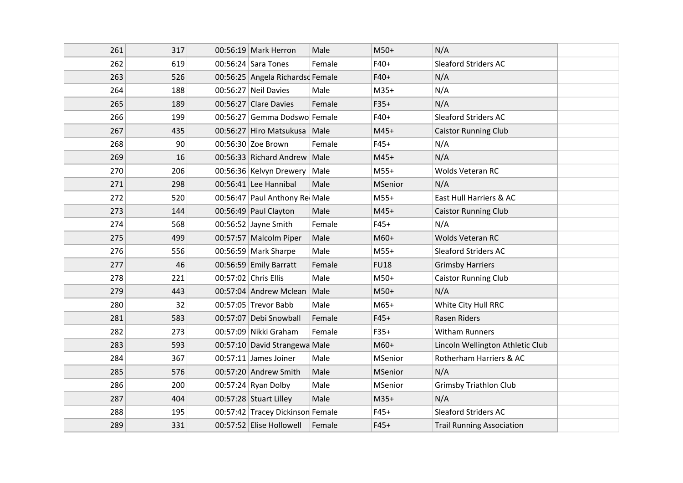| 261 | 317 | 00:56:19 Mark Herron             | Male   | $M50+$         | N/A                              |  |
|-----|-----|----------------------------------|--------|----------------|----------------------------------|--|
| 262 | 619 | $00:56:24$ Sara Tones            | Female | $F40+$         | <b>Sleaford Striders AC</b>      |  |
| 263 | 526 | 00:56:25 Angela Richardsd Female |        | $F40+$         | N/A                              |  |
| 264 | 188 | 00:56:27 Neil Davies             | Male   | $M35+$         | N/A                              |  |
| 265 | 189 | $00:56:27$ Clare Davies          | Female | $F35+$         | N/A                              |  |
| 266 | 199 | 00:56:27 Gemma Dodswo Female     |        | $F40+$         | <b>Sleaford Striders AC</b>      |  |
| 267 | 435 | 00:56:27 Hiro Matsukusa          | Male   | $M45+$         | <b>Caistor Running Club</b>      |  |
| 268 | 90  | 00:56:30 Zoe Brown               | Female | $F45+$         | N/A                              |  |
| 269 | 16  | 00:56:33 Richard Andrew          | Male   | $M45+$         | N/A                              |  |
| 270 | 206 | 00:56:36 Kelvyn Drewery          | Male   | $M55+$         | Wolds Veteran RC                 |  |
| 271 | 298 | $00:56:41$ Lee Hannibal          | Male   | <b>MSenior</b> | N/A                              |  |
| 272 | 520 | 00:56:47 Paul Anthony Re Male    |        | $M55+$         | East Hull Harriers & AC          |  |
| 273 | 144 | 00:56:49 Paul Clayton            | Male   | $M45+$         | <b>Caistor Running Club</b>      |  |
| 274 | 568 | 00:56:52 Jayne Smith             | Female | $F45+$         | N/A                              |  |
| 275 | 499 | 00:57:57 Malcolm Piper           | Male   | M60+           | Wolds Veteran RC                 |  |
| 276 | 556 | $00:56:59$ Mark Sharpe           | Male   | $M55+$         | <b>Sleaford Striders AC</b>      |  |
| 277 | 46  | $00:56:59$ Emily Barratt         | Female | <b>FU18</b>    | <b>Grimsby Harriers</b>          |  |
| 278 | 221 | 00:57:02 Chris Ellis             | Male   | $M50+$         | <b>Caistor Running Club</b>      |  |
| 279 | 443 | 00:57:04 Andrew Mclean           | Male   | $M50+$         | N/A                              |  |
| 280 | 32  | 00:57:05 Trevor Babb             | Male   | $M65+$         | White City Hull RRC              |  |
| 281 | 583 | 00:57:07 Debi Snowball           | Female | $F45+$         | <b>Rasen Riders</b>              |  |
| 282 | 273 | 00:57:09 Nikki Graham            | Female | $F35+$         | <b>Witham Runners</b>            |  |
| 283 | 593 | 00:57:10 David Strangewa Male    |        | M60+           | Lincoln Wellington Athletic Club |  |
| 284 | 367 | $00:57:11$ James Joiner          | Male   | <b>MSenior</b> | Rotherham Harriers & AC          |  |
| 285 | 576 | 00:57:20 Andrew Smith            | Male   | <b>MSenior</b> | N/A                              |  |
| 286 | 200 | 00:57:24 Ryan Dolby              | Male   | <b>MSenior</b> | <b>Grimsby Triathlon Club</b>    |  |
| 287 | 404 | 00:57:28 Stuart Lilley           | Male   | $M35+$         | N/A                              |  |
| 288 | 195 | 00:57:42 Tracey Dickinson Female |        | $F45+$         | <b>Sleaford Striders AC</b>      |  |
| 289 | 331 | 00:57:52 Elise Hollowell         | Female | $F45+$         | <b>Trail Running Association</b> |  |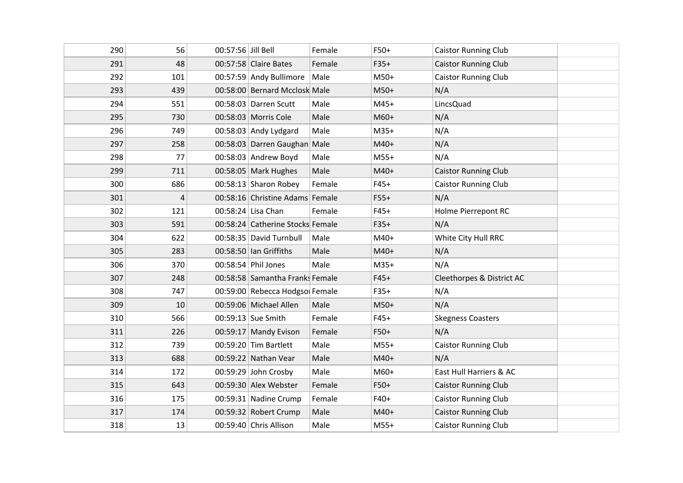| 290 | 56  | 00:57:56 Jill Bell |                                  | Female | $F50+$ | <b>Caistor Running Club</b> |  |
|-----|-----|--------------------|----------------------------------|--------|--------|-----------------------------|--|
| 291 | 48  |                    | 00:57:58 Claire Bates            | Female | $F35+$ | <b>Caistor Running Club</b> |  |
| 292 | 101 |                    | 00:57:59 Andy Bullimore          | Male   | $M50+$ | <b>Caistor Running Club</b> |  |
| 293 | 439 |                    | 00:58:00 Bernard Mcclosk Male    |        | $M50+$ | N/A                         |  |
| 294 | 551 |                    | 00:58:03 Darren Scutt            | Male   | $M45+$ | LincsQuad                   |  |
| 295 | 730 |                    | 00:58:03 Morris Cole             | Male   | $M60+$ | N/A                         |  |
| 296 | 749 |                    | 00:58:03 Andy Lydgard            | Male   | $M35+$ | N/A                         |  |
| 297 | 258 |                    | 00:58:03 Darren Gaughan Male     |        | $M40+$ | N/A                         |  |
| 298 | 77  |                    | 00:58:03 Andrew Boyd             | Male   | $M55+$ | N/A                         |  |
| 299 | 711 |                    | 00:58:05 Mark Hughes             | Male   | $M40+$ | <b>Caistor Running Club</b> |  |
| 300 | 686 |                    | 00:58:13 Sharon Robey            | Female | $F45+$ | <b>Caistor Running Club</b> |  |
| 301 | 4   |                    | 00:58:16 Christine Adams Female  |        | $F55+$ | N/A                         |  |
| 302 | 121 |                    | 00:58:24 Lisa Chan               | Female | $F45+$ | Holme Pierrepont RC         |  |
| 303 | 591 |                    | 00:58:24 Catherine Stocks Female |        | $F35+$ | N/A                         |  |
| 304 | 622 |                    | 00:58:35 David Turnbull          | Male   | M40+   | White City Hull RRC         |  |
| 305 | 283 |                    | $00:58:50$ Ian Griffiths         | Male   | $M40+$ | N/A                         |  |
| 306 | 370 |                    | 00:58:54 Phil Jones              | Male   | $M35+$ | N/A                         |  |
| 307 | 248 |                    | 00:58:58 Samantha Franks Female  |        | $F45+$ | Cleethorpes & District AC   |  |
| 308 | 747 |                    | 00:59:00 Rebecca Hodgso Female   |        | $F35+$ | N/A                         |  |
| 309 | 10  |                    | 00:59:06 Michael Allen           | Male   | $M50+$ | N/A                         |  |
| 310 | 566 |                    | 00:59:13 Sue Smith               | Female | $F45+$ | <b>Skegness Coasters</b>    |  |
| 311 | 226 |                    | 00:59:17 Mandy Evison            | Female | $F50+$ | N/A                         |  |
| 312 | 739 |                    | $00:59:20$ Tim Bartlett          | Male   | $M55+$ | <b>Caistor Running Club</b> |  |
| 313 | 688 |                    | 00:59:22 Nathan Vear             | Male   | $M40+$ | N/A                         |  |
| 314 | 172 |                    | 00:59:29 John Crosby             | Male   | M60+   | East Hull Harriers & AC     |  |
| 315 | 643 |                    | 00:59:30 Alex Webster            | Female | $F50+$ | <b>Caistor Running Club</b> |  |
| 316 | 175 |                    | 00:59:31 Nadine Crump            | Female | $F40+$ | <b>Caistor Running Club</b> |  |
| 317 | 174 |                    | 00:59:32 Robert Crump            | Male   | $M40+$ | <b>Caistor Running Club</b> |  |
| 318 | 13  |                    | 00:59:40 Chris Allison           | Male   | $M55+$ | <b>Caistor Running Club</b> |  |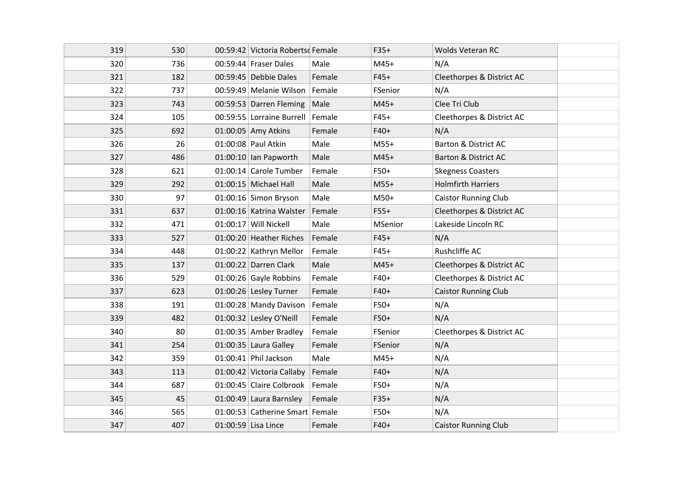| 319 | 530 | 00:59:42 Victoria Robertsd Female |        | $F35+$  | Wolds Veteran RC            |  |
|-----|-----|-----------------------------------|--------|---------|-----------------------------|--|
| 320 | 736 | $00:59:44$ Fraser Dales           | Male   | $M45+$  | N/A                         |  |
| 321 | 182 | 00:59:45 Debbie Dales             | Female | $F45+$  | Cleethorpes & District AC   |  |
| 322 | 737 | 00:59:49 Melanie Wilson           | Female | FSenior | N/A                         |  |
| 323 | 743 | 00:59:53 Darren Fleming           | Male   | $M45+$  | Clee Tri Club               |  |
| 324 | 105 | 00:59:55 Lorraine Burrell         | Female | $F45+$  | Cleethorpes & District AC   |  |
| 325 | 692 | $01:00:05$ Amy Atkins             | Female | $F40+$  | N/A                         |  |
| 326 | 26  | 01:00:08 Paul Atkin               | Male   | $M55+$  | Barton & District AC        |  |
| 327 | 486 | $01:00:10$ Ian Papworth           | Male   | $M45+$  | Barton & District AC        |  |
| 328 | 621 | 01:00:14 Carole Tumber            | Female | $F50+$  | <b>Skegness Coasters</b>    |  |
| 329 | 292 | $01:00:15$ Michael Hall           | Male   | $M55+$  | <b>Holmfirth Harriers</b>   |  |
| 330 | 97  | 01:00:16 Simon Bryson             | Male   | $M50+$  | Caistor Running Club        |  |
| 331 | 637 | 01:00:16 Katrina Walster          | Female | $F55+$  | Cleethorpes & District AC   |  |
| 332 | 471 | $01:00:17$ Will Nickell           | Male   | MSenior | Lakeside Lincoln RC         |  |
| 333 | 527 | 01:00:20 Heather Riches           | Female | $F45+$  | N/A                         |  |
| 334 | 448 | 01:00:22 Kathryn Mellor           | Female | $F45+$  | Rushcliffe AC               |  |
| 335 | 137 | 01:00:22 Darren Clark             | Male   | $M45+$  | Cleethorpes & District AC   |  |
| 336 | 529 | 01:00:26 Gayle Robbins            | Female | $F40+$  | Cleethorpes & District AC   |  |
| 337 | 623 | 01:00:26 Lesley Turner            | Female | $F40+$  | <b>Caistor Running Club</b> |  |
| 338 | 191 | 01:00:28 Mandy Davison            | Female | $F50+$  | N/A                         |  |
| 339 | 482 | 01:00:32 Lesley O'Neill           | Female | $F50+$  | N/A                         |  |
| 340 | 80  | 01:00:35 Amber Bradley            | Female | FSenior | Cleethorpes & District AC   |  |
| 341 | 254 | 01:00:35 Laura Galley             | Female | FSenior | N/A                         |  |
| 342 | 359 | $01:00:41$ Phil Jackson           | Male   | $M45+$  | N/A                         |  |
| 343 | 113 | 01:00:42 Victoria Callaby         | Female | $F40+$  | N/A                         |  |
| 344 | 687 | 01:00:45 Claire Colbrook          | Female | $F50+$  | N/A                         |  |
| 345 | 45  | $01:00:49$ Laura Barnsley         | Female | $F35+$  | N/A                         |  |
| 346 | 565 | 01:00:53 Catherine Smart Female   |        | $F50+$  | N/A                         |  |
| 347 | 407 | $01:00:59$ Lisa Lince             | Female | $F40+$  | <b>Caistor Running Club</b> |  |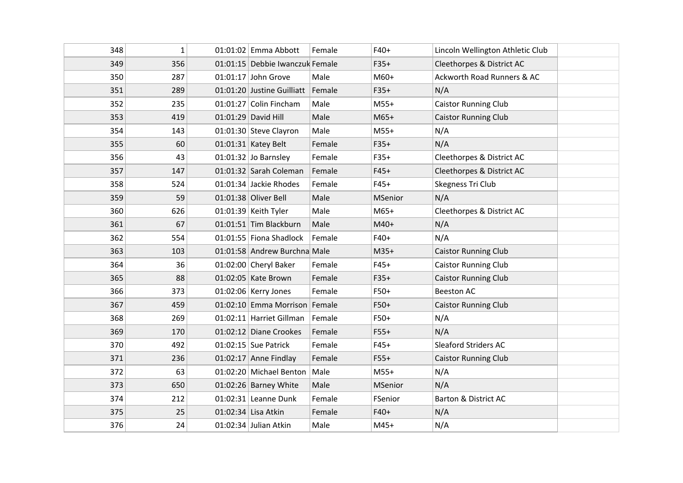| 348 | $\mathbf{1}$ | $01:01:02$ Emma Abbott          | Female | $F40+$  | Lincoln Wellington Athletic Club |  |
|-----|--------------|---------------------------------|--------|---------|----------------------------------|--|
| 349 | 356          | 01:01:15 Debbie Iwanczuk Female |        | $F35+$  | Cleethorpes & District AC        |  |
| 350 | 287          | 01:01:17 John Grove             | Male   | $M60+$  | Ackworth Road Runners & AC       |  |
| 351 | 289          | 01:01:20 Justine Guilliatt      | Female | $F35+$  | N/A                              |  |
| 352 | 235          | 01:01:27 Colin Fincham          | Male   | $M55+$  | <b>Caistor Running Club</b>      |  |
| 353 | 419          | $01:01:29$ David Hill           | Male   | $M65+$  | <b>Caistor Running Club</b>      |  |
| 354 | 143          | 01:01:30 Steve Clayron          | Male   | $M55+$  | N/A                              |  |
| 355 | 60           | $01:01:31$ Katey Belt           | Female | $F35+$  | N/A                              |  |
| 356 | 43           | $01:01:32$ Jo Barnsley          | Female | $F35+$  | Cleethorpes & District AC        |  |
| 357 | 147          | 01:01:32 Sarah Coleman          | Female | $F45+$  | Cleethorpes & District AC        |  |
| 358 | 524          | 01:01:34 Jackie Rhodes          | Female | $F45+$  | Skegness Tri Club                |  |
| 359 | 59           | 01:01:38 Oliver Bell            | Male   | MSenior | N/A                              |  |
| 360 | 626          | $01:01:39$ Keith Tyler          | Male   | $M65+$  | Cleethorpes & District AC        |  |
| 361 | 67           | 01:01:51 Tim Blackburn          | Male   | $M40+$  | N/A                              |  |
| 362 | 554          | 01:01:55 Fiona Shadlock         | Female | $F40+$  | N/A                              |  |
| 363 | 103          | 01:01:58 Andrew Burchna Male    |        | $M35+$  | <b>Caistor Running Club</b>      |  |
| 364 | 36           | 01:02:00 Cheryl Baker           | Female | $F45+$  | <b>Caistor Running Club</b>      |  |
| 365 | 88           | 01:02:05 Kate Brown             | Female | $F35+$  | <b>Caistor Running Club</b>      |  |
| 366 | 373          | $01:02:06$ Kerry Jones          | Female | $F50+$  | <b>Beeston AC</b>                |  |
| 367 | 459          | 01:02:10 Emma Morrison Female   |        | $F50+$  | <b>Caistor Running Club</b>      |  |
| 368 | 269          | 01:02:11 Harriet Gillman        | Female | $F50+$  | N/A                              |  |
| 369 | 170          | 01:02:12 Diane Crookes          | Female | $F55+$  | N/A                              |  |
| 370 | 492          | 01:02:15 Sue Patrick            | Female | $F45+$  | <b>Sleaford Striders AC</b>      |  |
| 371 | 236          | $01:02:17$ Anne Findlay         | Female | $F55+$  | <b>Caistor Running Club</b>      |  |
| 372 | 63           | 01:02:20 Michael Benton         | Male   | $M55+$  | N/A                              |  |
| 373 | 650          | $01:02:26$ Barney White         | Male   | MSenior | N/A                              |  |
| 374 | 212          | $01:02:31$ Leanne Dunk          | Female | FSenior | Barton & District AC             |  |
| 375 | 25           | 01:02:34 Lisa Atkin             | Female | $F40+$  | N/A                              |  |
| 376 | 24           | 01:02:34 Julian Atkin           | Male   | $M45+$  | N/A                              |  |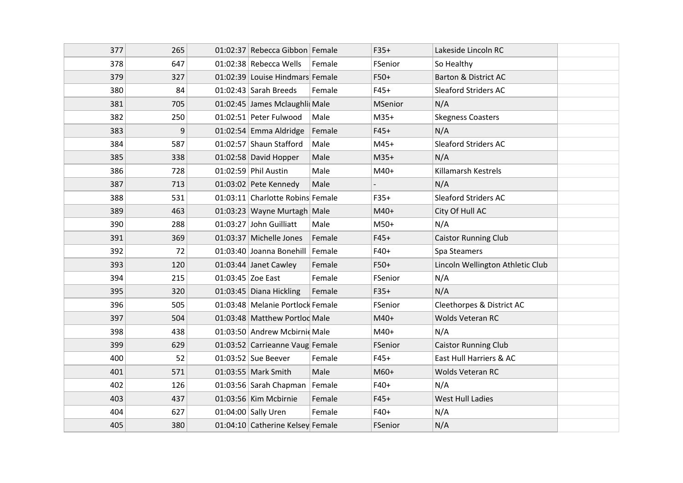| 377 | 265 | 01:02:37 Rebecca Gibbon Female   |        | $F35+$  | Lakeside Lincoln RC              |  |
|-----|-----|----------------------------------|--------|---------|----------------------------------|--|
| 378 | 647 | $01:02:38$ Rebecca Wells         | Female | FSenior | So Healthy                       |  |
| 379 | 327 | 01:02:39 Louise Hindmars Female  |        | $F50+$  | Barton & District AC             |  |
| 380 | 84  | 01:02:43 Sarah Breeds            | Female | $F45+$  | <b>Sleaford Striders AC</b>      |  |
| 381 | 705 | 01:02:45 James Mclaughli Male    |        | MSenior | N/A                              |  |
| 382 | 250 | 01:02:51 Peter Fulwood           | Male   | $M35+$  | <b>Skegness Coasters</b>         |  |
| 383 | 9   | 01:02:54 Emma Aldridge           | Female | $F45+$  | N/A                              |  |
| 384 | 587 | $01:02:57$ Shaun Stafford        | Male   | $M45+$  | <b>Sleaford Striders AC</b>      |  |
| 385 | 338 | $01:02:58$ David Hopper          | Male   | $M35+$  | N/A                              |  |
| 386 | 728 | 01:02:59 Phil Austin             | Male   | $M40+$  | Killamarsh Kestrels              |  |
| 387 | 713 | 01:03:02 Pete Kennedy            | Male   |         | N/A                              |  |
| 388 | 531 | 01:03:11 Charlotte Robins Female |        | $F35+$  | <b>Sleaford Striders AC</b>      |  |
| 389 | 463 | 01:03:23 Wayne Murtagh Male      |        | $M40+$  | City Of Hull AC                  |  |
| 390 | 288 | 01:03:27 John Guilliatt          | Male   | $M50+$  | N/A                              |  |
| 391 | 369 | 01:03:37 Michelle Jones          | Female | $F45+$  | <b>Caistor Running Club</b>      |  |
| 392 | 72  | 01:03:40 Joanna Bonehill         | Female | $F40+$  | Spa Steamers                     |  |
| 393 | 120 | 01:03:44 Janet Cawley            | Female | $F50+$  | Lincoln Wellington Athletic Club |  |
| 394 | 215 | $01:03:45$ Zoe East              | Female | FSenior | N/A                              |  |
| 395 | 320 | 01:03:45 Diana Hickling          | Female | $F35+$  | N/A                              |  |
| 396 | 505 | 01:03:48 Melanie Portlock Female |        | FSenior | Cleethorpes & District AC        |  |
| 397 | 504 | 01:03:48 Matthew Portlod Male    |        | $M40+$  | Wolds Veteran RC                 |  |
| 398 | 438 | 01:03:50 Andrew Mcbirnid Male    |        | $M40+$  | N/A                              |  |
| 399 | 629 | 01:03:52 Carrieanne Vaug Female  |        | FSenior | Caistor Running Club             |  |
| 400 | 52  | $01:03:52$ Sue Beever            | Female | $F45+$  | East Hull Harriers & AC          |  |
| 401 | 571 | 01:03:55   Mark Smith            | Male   | $M60+$  | Wolds Veteran RC                 |  |
| 402 | 126 | 01:03:56 Sarah Chapman   Female  |        | $F40+$  | N/A                              |  |
| 403 | 437 | $01:03:56$ Kim Mcbirnie          | Female | $F45+$  | <b>West Hull Ladies</b>          |  |
| 404 | 627 | $01:04:00$ Sally Uren            | Female | $F40+$  | N/A                              |  |
| 405 | 380 | 01:04:10 Catherine Kelsey Female |        | FSenior | N/A                              |  |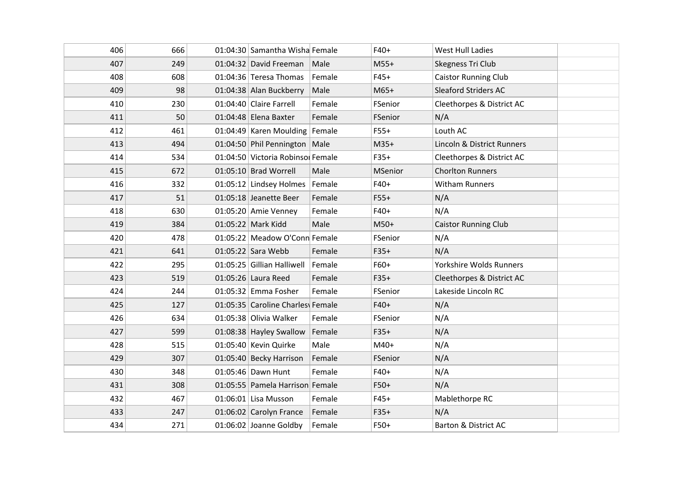| 406 | 666 | 01:04:30 Samantha Wisha Female    |        | $F40+$  | West Hull Ladies            |  |
|-----|-----|-----------------------------------|--------|---------|-----------------------------|--|
| 407 | 249 | $01:04:32$ David Freeman          | Male   | $M55+$  | Skegness Tri Club           |  |
| 408 | 608 | $01:04:36$ Teresa Thomas          | Female | $F45+$  | <b>Caistor Running Club</b> |  |
| 409 | 98  | 01:04:38 Alan Buckberry           | Male   | $M65+$  | <b>Sleaford Striders AC</b> |  |
| 410 | 230 | $01:04:40$ Claire Farrell         | Female | FSenior | Cleethorpes & District AC   |  |
| 411 | 50  | $01:04:48$ Elena Baxter           | Female | FSenior | N/A                         |  |
| 412 | 461 | 01:04:49 Karen Moulding Female    |        | $F55+$  | Louth AC                    |  |
| 413 | 494 | 01:04:50 Phil Pennington   Male   |        | $M35+$  | Lincoln & District Runners  |  |
| 414 | 534 | 01:04:50 Victoria Robinsol Female |        | $F35+$  | Cleethorpes & District AC   |  |
| 415 | 672 | $01:05:10$ Brad Worrell           | Male   | MSenior | <b>Chorlton Runners</b>     |  |
| 416 | 332 | 01:05:12 Lindsey Holmes           | Female | $F40+$  | <b>Witham Runners</b>       |  |
| 417 | 51  | 01:05:18 Jeanette Beer            | Female | $F55+$  | N/A                         |  |
| 418 | 630 | 01:05:20 Amie Venney              | Female | $F40+$  | N/A                         |  |
| 419 | 384 | 01:05:22 Mark Kidd                | Male   | $M50+$  | <b>Caistor Running Club</b> |  |
| 420 | 478 | 01:05:22 Meadow O'Conn Female     |        | FSenior | N/A                         |  |
| 421 | 641 | 01:05:22 Sara Webb                | Female | $F35+$  | N/A                         |  |
| 422 | 295 | 01:05:25 Gillian Halliwell        | Female | $F60+$  | Yorkshire Wolds Runners     |  |
| 423 | 519 | 01:05:26 Laura Reed               | Female | $F35+$  | Cleethorpes & District AC   |  |
| 424 | 244 | $01:05:32$ Emma Fosher            | Female | FSenior | Lakeside Lincoln RC         |  |
| 425 | 127 | 01:05:35 Caroline Charles Female  |        | $F40+$  | N/A                         |  |
| 426 | 634 | 01:05:38 Olivia Walker            | Female | FSenior | N/A                         |  |
| 427 | 599 | 01:08:38 Hayley Swallow           | Female | $F35+$  | N/A                         |  |
| 428 | 515 | 01:05:40 Kevin Quirke             | Male   | $M40+$  | N/A                         |  |
| 429 | 307 | 01:05:40 Becky Harrison           | Female | FSenior | N/A                         |  |
| 430 | 348 | 01:05:46 Dawn Hunt                | Female | $F40+$  | N/A                         |  |
| 431 | 308 | 01:05:55 Pamela Harrison Female   |        | $F50+$  | N/A                         |  |
| 432 | 467 | $01:06:01$ Lisa Musson            | Female | $F45+$  | Mablethorpe RC              |  |
| 433 | 247 | 01:06:02 Carolyn France           | Female | $F35+$  | N/A                         |  |
| 434 | 271 | 01:06:02 Joanne Goldby            | Female | $F50+$  | Barton & District AC        |  |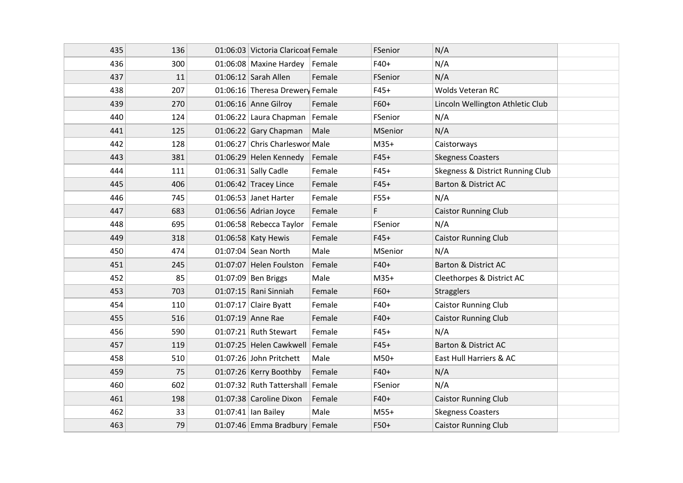| 435 | 136 | 01:06:03 Victoria Claricoal Female |        | FSenior        | N/A                              |  |
|-----|-----|------------------------------------|--------|----------------|----------------------------------|--|
| 436 | 300 | $01:06:08$ Maxine Hardey           | Female | $F40+$         | N/A                              |  |
| 437 | 11  | $01:06:12$ Sarah Allen             | Female | FSenior        | N/A                              |  |
| 438 | 207 | 01:06:16 Theresa Drewery Female    |        | $F45+$         | <b>Wolds Veteran RC</b>          |  |
| 439 | 270 | 01:06:16 Anne Gilroy               | Female | $F60+$         | Lincoln Wellington Athletic Club |  |
| 440 | 124 | 01:06:22 Laura Chapman             | Female | FSenior        | N/A                              |  |
| 441 | 125 | 01:06:22 Gary Chapman              | Male   | MSenior        | N/A                              |  |
| 442 | 128 | 01:06:27 Chris Charleswor Male     |        | $M35+$         | Caistorways                      |  |
| 443 | 381 | 01:06:29 Helen Kennedy             | Female | $F45+$         | <b>Skegness Coasters</b>         |  |
| 444 | 111 | $01:06:31$ Sally Cadle             | Female | $F45+$         | Skegness & District Running Club |  |
| 445 | 406 | 01:06:42 Tracey Lince              | Female | $F45+$         | Barton & District AC             |  |
| 446 | 745 | 01:06:53 Janet Harter              | Female | $F55+$         | N/A                              |  |
| 447 | 683 | 01:06:56 Adrian Joyce              | Female | F.             | <b>Caistor Running Club</b>      |  |
| 448 | 695 | 01:06:58 Rebecca Taylor            | Female | FSenior        | N/A                              |  |
| 449 | 318 | $01:06:58$ Katy Hewis              | Female | $F45+$         | <b>Caistor Running Club</b>      |  |
| 450 | 474 | $01:07:04$ Sean North              | Male   | <b>MSenior</b> | N/A                              |  |
| 451 | 245 | 01:07:07 Helen Foulston            | Female | $F40+$         | Barton & District AC             |  |
| 452 | 85  | $01:07:09$ Ben Briggs              | Male   | $M35+$         | Cleethorpes & District AC        |  |
| 453 | 703 | $01:07:15$ Rani Sinniah            | Female | $F60+$         | Stragglers                       |  |
| 454 | 110 | $01:07:17$ Claire Byatt            | Female | $F40+$         | <b>Caistor Running Club</b>      |  |
| 455 | 516 | 01:07:19 Anne Rae                  | Female | $F40+$         | <b>Caistor Running Club</b>      |  |
| 456 | 590 | $01:07:21$ Ruth Stewart            | Female | $F45+$         | N/A                              |  |
| 457 | 119 | 01:07:25 Helen Cawkwell            | Female | $F45+$         | Barton & District AC             |  |
| 458 | 510 | 01:07:26 John Pritchett            | Male   | $M50+$         | East Hull Harriers & AC          |  |
| 459 | 75  | 01:07:26 Kerry Boothby             | Female | $F40+$         | N/A                              |  |
| 460 | 602 | 01:07:32 Ruth Tattershall          | Female | FSenior        | N/A                              |  |
| 461 | 198 | 01:07:38 Caroline Dixon            | Female | $F40+$         | <b>Caistor Running Club</b>      |  |
| 462 | 33  | $01:07:41$ Ian Bailey              | Male   | $M55+$         | <b>Skegness Coasters</b>         |  |
| 463 | 79  | 01:07:46 Emma Bradbury Female      |        | $F50+$         | <b>Caistor Running Club</b>      |  |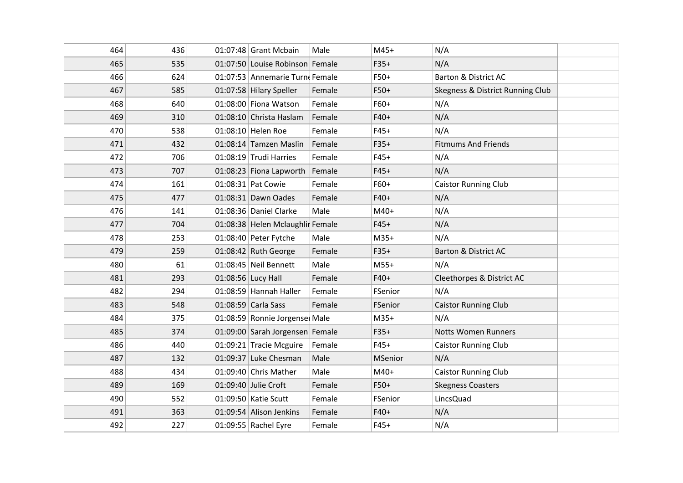| 464 | 436 | 01:07:48 Grant Mcbain            | Male   | $M45+$  | N/A                              |  |
|-----|-----|----------------------------------|--------|---------|----------------------------------|--|
| 465 | 535 | 01:07:50 Louise Robinson Female  |        | $F35+$  | N/A                              |  |
| 466 | 624 | 01:07:53 Annemarie Turn Female   |        | $F50+$  | Barton & District AC             |  |
| 467 | 585 | 01:07:58 Hilary Speller          | Female | $F50+$  | Skegness & District Running Club |  |
| 468 | 640 | 01:08:00 Fiona Watson            | Female | $F60+$  | N/A                              |  |
| 469 | 310 | 01:08:10 Christa Haslam          | Female | $F40+$  | N/A                              |  |
| 470 | 538 | 01:08:10 Helen Roe               | Female | $F45+$  | N/A                              |  |
| 471 | 432 | 01:08:14 Tamzen Maslin           | Female | $F35+$  | <b>Fitmums And Friends</b>       |  |
| 472 | 706 | $01:08:19$ Trudi Harries         | Female | $F45+$  | N/A                              |  |
| 473 | 707 | 01:08:23 Fiona Lapworth          | Female | $F45+$  | N/A                              |  |
| 474 | 161 | $01:08:31$ Pat Cowie             | Female | $F60+$  | <b>Caistor Running Club</b>      |  |
| 475 | 477 | $01:08:31$ Dawn Oades            | Female | $F40+$  | N/A                              |  |
| 476 | 141 | 01:08:36 Daniel Clarke           | Male   | M40+    | N/A                              |  |
| 477 | 704 | 01:08:38 Helen Mclaughlir Female |        | $F45+$  | N/A                              |  |
| 478 | 253 | 01:08:40 Peter Fytche            | Male   | $M35+$  | N/A                              |  |
| 479 | 259 | 01:08:42 Ruth George             | Female | $F35+$  | Barton & District AC             |  |
| 480 | 61  | $01:08:45$ Neil Bennett          | Male   | $M55+$  | N/A                              |  |
| 481 | 293 | 01:08:56 Lucy Hall               | Female | $F40+$  | Cleethorpes & District AC        |  |
| 482 | 294 | 01:08:59 Hannah Haller           | Female | FSenior | N/A                              |  |
| 483 | 548 | 01:08:59 Carla Sass              | Female | FSenior | <b>Caistor Running Club</b>      |  |
| 484 | 375 | 01:08:59 Ronnie Jorgense Male    |        | $M35+$  | N/A                              |  |
| 485 | 374 | 01:09:00 Sarah Jorgensen Female  |        | $F35+$  | <b>Notts Women Runners</b>       |  |
| 486 | 440 | 01:09:21 Tracie Mcguire          | Female | $F45+$  | <b>Caistor Running Club</b>      |  |
| 487 | 132 | 01:09:37 Luke Chesman            | Male   | MSenior | N/A                              |  |
| 488 | 434 | $01:09:40$ Chris Mather          | Male   | $M40+$  | Caistor Running Club             |  |
| 489 | 169 | $01:09:40$ Julie Croft           | Female | $F50+$  | <b>Skegness Coasters</b>         |  |
| 490 | 552 | 01:09:50 Katie Scutt             | Female | FSenior | LincsQuad                        |  |
| 491 | 363 | 01:09:54 Alison Jenkins          | Female | $F40+$  | N/A                              |  |
| 492 | 227 | 01:09:55 Rachel Eyre             | Female | $F45+$  | N/A                              |  |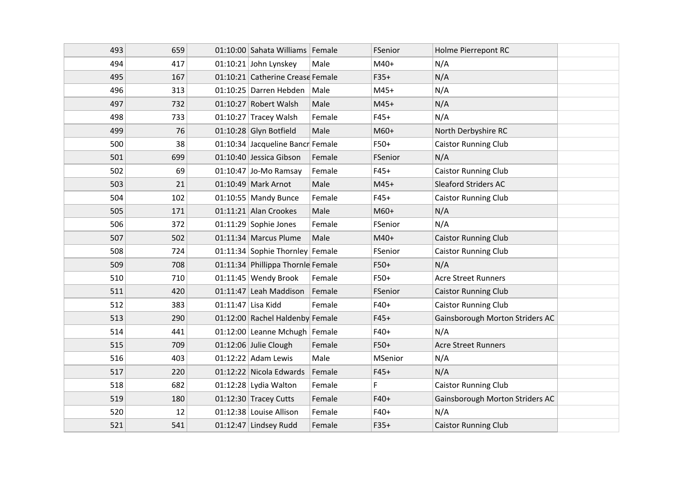| 493 | 659 | 01:10:00 Sahata Williams Female   |        | FSenior        | Holme Pierrepont RC             |  |
|-----|-----|-----------------------------------|--------|----------------|---------------------------------|--|
| 494 | 417 | 01:10:21 John Lynskey             | Male   | $M40+$         | N/A                             |  |
| 495 | 167 | 01:10:21 Catherine Crease Female  |        | $F35+$         | N/A                             |  |
| 496 | 313 | 01:10:25 Darren Hebden            | Male   | $M45+$         | N/A                             |  |
| 497 | 732 | 01:10:27 Robert Walsh             | Male   | $M45+$         | N/A                             |  |
| 498 | 733 | 01:10:27 Tracey Walsh             | Female | $F45+$         | N/A                             |  |
| 499 | 76  | 01:10:28 Glyn Botfield            | Male   | M60+           | North Derbyshire RC             |  |
| 500 | 38  | 01:10:34 Jacqueline Bancr Female  |        | $F50+$         | <b>Caistor Running Club</b>     |  |
| 501 | 699 | 01:10:40 Jessica Gibson           | Female | FSenior        | N/A                             |  |
| 502 | 69  | $01:10:47$ Jo-Mo Ramsay           | Female | $F45+$         | <b>Caistor Running Club</b>     |  |
| 503 | 21  | 01:10:49 Mark Arnot               | Male   | $M45+$         | <b>Sleaford Striders AC</b>     |  |
| 504 | 102 | $01:10:55$ Mandy Bunce            | Female | $F45+$         | <b>Caistor Running Club</b>     |  |
| 505 | 171 | 01:11:21 Alan Crookes             | Male   | M60+           | N/A                             |  |
| 506 | 372 | $01:11:29$ Sophie Jones           | Female | FSenior        | N/A                             |  |
| 507 | 502 | 01:11:34 Marcus Plume             | Male   | $M40+$         | <b>Caistor Running Club</b>     |  |
| 508 | 724 | 01:11:34 Sophie Thornley Female   |        | FSenior        | <b>Caistor Running Club</b>     |  |
| 509 | 708 | 01:11:34 Phillippa Thornle Female |        | $F50+$         | N/A                             |  |
| 510 | 710 | $01:11:45$ Wendy Brook            | Female | $F50+$         | <b>Acre Street Runners</b>      |  |
| 511 | 420 | $01:11:47$ Leah Maddison          | Female | <b>FSenior</b> | <b>Caistor Running Club</b>     |  |
| 512 | 383 | $01:11:47$ Lisa Kidd              | Female | $F40+$         | Caistor Running Club            |  |
| 513 | 290 | 01:12:00 Rachel Haldenby Female   |        | $F45+$         | Gainsborough Morton Striders AC |  |
| 514 | 441 | 01:12:00 Leanne Mchugh Female     |        | $F40+$         | N/A                             |  |
| 515 | 709 | $01:12:06$ Julie Clough           | Female | $F50+$         | <b>Acre Street Runners</b>      |  |
| 516 | 403 | $01:12:22$ Adam Lewis             | Male   | <b>MSenior</b> | N/A                             |  |
| 517 | 220 | 01:12:22 Nicola Edwards           | Female | $F45+$         | N/A                             |  |
| 518 | 682 | $01:12:28$ Lydia Walton           | Female | F              | <b>Caistor Running Club</b>     |  |
| 519 | 180 | 01:12:30 Tracey Cutts             | Female | $F40+$         | Gainsborough Morton Striders AC |  |
| 520 | 12  | 01:12:38 Louise Allison           | Female | $F40+$         | N/A                             |  |
| 521 | 541 | $01:12:47$ Lindsey Rudd           | Female | $F35+$         | <b>Caistor Running Club</b>     |  |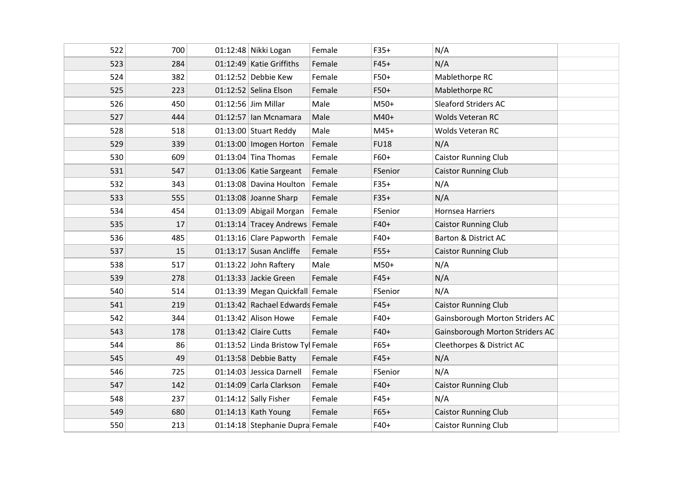| 522 | 700 | 01:12:48 Nikki Logan              | Female | $F35+$      | N/A                             |  |
|-----|-----|-----------------------------------|--------|-------------|---------------------------------|--|
| 523 | 284 | $01:12:49$ Katie Griffiths        | Female | $F45+$      | N/A                             |  |
| 524 | 382 | 01:12:52 Debbie Kew               | Female | $F50+$      | Mablethorpe RC                  |  |
| 525 | 223 | $01:12:52$ Selina Elson           | Female | $F50+$      | Mablethorpe RC                  |  |
| 526 | 450 | $01:12:56$ Jim Millar             | Male   | $M50+$      | <b>Sleaford Striders AC</b>     |  |
| 527 | 444 | $01:12:57$ Ian Mcnamara           | Male   | $M40+$      | Wolds Veteran RC                |  |
| 528 | 518 | 01:13:00 Stuart Reddy             | Male   | $M45+$      | <b>Wolds Veteran RC</b>         |  |
| 529 | 339 | 01:13:00   Imogen Horton          | Female | <b>FU18</b> | N/A                             |  |
| 530 | 609 | $01:13:04$ Tina Thomas            | Female | $F60+$      | <b>Caistor Running Club</b>     |  |
| 531 | 547 | 01:13:06 Katie Sargeant           | Female | FSenior     | <b>Caistor Running Club</b>     |  |
| 532 | 343 | 01:13:08 Davina Houlton           | Female | $F35+$      | N/A                             |  |
| 533 | 555 | $01:13:08$ Joanne Sharp           | Female | $F35+$      | N/A                             |  |
| 534 | 454 | 01:13:09 Abigail Morgan           | Female | FSenior     | <b>Hornsea Harriers</b>         |  |
| 535 | 17  | 01:13:14 Tracey Andrews Female    |        | $F40+$      | <b>Caistor Running Club</b>     |  |
| 536 | 485 | 01:13:16 Clare Papworth           | Female | $F40+$      | Barton & District AC            |  |
| 537 | 15  | $01:13:17$ Susan Ancliffe         | Female | $F55+$      | <b>Caistor Running Club</b>     |  |
| 538 | 517 | 01:13:22 John Raftery             | Male   | $M50+$      | N/A                             |  |
| 539 | 278 | 01:13:33 Jackie Green             | Female | $F45+$      | N/A                             |  |
| 540 | 514 | 01:13:39 Megan Quickfall Female   |        | FSenior     | N/A                             |  |
| 541 | 219 | 01:13:42 Rachael Edwards Female   |        | $F45+$      | <b>Caistor Running Club</b>     |  |
| 542 | 344 | 01:13:42 Alison Howe              | Female | $F40+$      | Gainsborough Morton Striders AC |  |
| 543 | 178 | 01:13:42 Claire Cutts             | Female | $F40+$      | Gainsborough Morton Striders AC |  |
| 544 | 86  | 01:13:52 Linda Bristow Tyl Female |        | $F65+$      | Cleethorpes & District AC       |  |
| 545 | 49  | 01:13:58 Debbie Batty             | Female | $F45+$      | N/A                             |  |
| 546 | 725 | 01:14:03 Jessica Darnell          | Female | FSenior     | N/A                             |  |
| 547 | 142 | 01:14:09 Carla Clarkson           | Female | $F40+$      | <b>Caistor Running Club</b>     |  |
| 548 | 237 | 01:14:12 Sally Fisher             | Female | $F45+$      | N/A                             |  |
| 549 | 680 | $01:14:13$ Kath Young             | Female | $F65+$      | <b>Caistor Running Club</b>     |  |
| 550 | 213 | 01:14:18 Stephanie Dupra Female   |        | $F40+$      | <b>Caistor Running Club</b>     |  |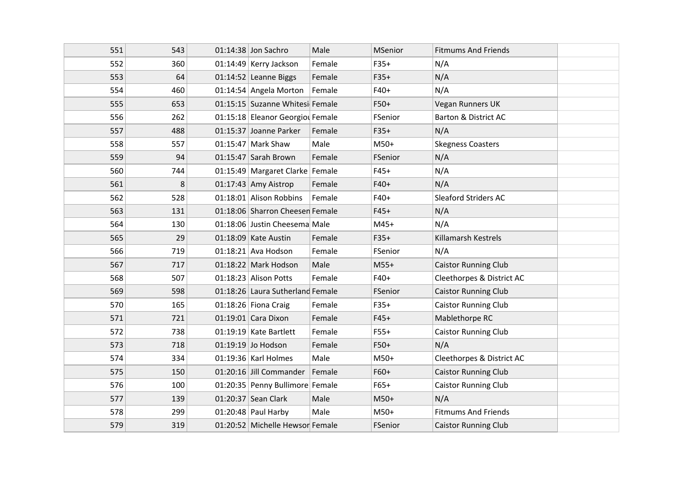| 551 | 543 | $01:14:38$ Jon Sachro            | Male   | <b>MSenior</b> | <b>Fitmums And Friends</b>  |  |
|-----|-----|----------------------------------|--------|----------------|-----------------------------|--|
| 552 | 360 | 01:14:49 Kerry Jackson           | Female | $F35+$         | N/A                         |  |
| 553 | 64  | 01:14:52 Leanne Biggs            | Female | $F35+$         | N/A                         |  |
| 554 | 460 | 01:14:54 Angela Morton           | Female | $F40+$         | N/A                         |  |
| 555 | 653 | 01:15:15 Suzanne Whitesi Female  |        | $F50+$         | Vegan Runners UK            |  |
| 556 | 262 | 01:15:18 Eleanor Georgiou Female |        | FSenior        | Barton & District AC        |  |
| 557 | 488 | 01:15:37 Joanne Parker           | Female | $F35+$         | N/A                         |  |
| 558 | 557 | $01:15:47$ Mark Shaw             | Male   | $M50+$         | <b>Skegness Coasters</b>    |  |
| 559 | 94  | 01:15:47 Sarah Brown             | Female | FSenior        | N/A                         |  |
| 560 | 744 | 01:15:49 Margaret Clarke Female  |        | $F45+$         | N/A                         |  |
| 561 | 8   | $01:17:43$ Amy Aistrop           | Female | $F40+$         | N/A                         |  |
| 562 | 528 | 01:18:01 Alison Robbins          | Female | $F40+$         | <b>Sleaford Striders AC</b> |  |
| 563 | 131 | 01:18:06 Sharron Cheesen Female  |        | $F45+$         | N/A                         |  |
| 564 | 130 | 01:18:06 Justin Cheesema Male    |        | $M45+$         | N/A                         |  |
| 565 | 29  | $01:18:09$ Kate Austin           | Female | $F35+$         | Killamarsh Kestrels         |  |
| 566 | 719 | $01:18:21$ Ava Hodson            | Female | FSenior        | N/A                         |  |
| 567 | 717 | 01:18:22 Mark Hodson             | Male   | $M55+$         | <b>Caistor Running Club</b> |  |
| 568 | 507 | 01:18:23 Alison Potts            | Female | $F40+$         | Cleethorpes & District AC   |  |
| 569 | 598 | 01:18:26 Laura Sutherland Female |        | FSenior        | <b>Caistor Running Club</b> |  |
| 570 | 165 | $01:18:26$ Fiona Craig           | Female | $F35+$         | Caistor Running Club        |  |
| 571 | 721 | $01:19:01$ Cara Dixon            | Female | $F45+$         | Mablethorpe RC              |  |
| 572 | 738 | $01:19:19$ Kate Bartlett         | Female | $F55+$         | <b>Caistor Running Club</b> |  |
| 573 | 718 | 01:19:19 Jo Hodson               | Female | $F50+$         | N/A                         |  |
| 574 | 334 | $01:19:36$ Karl Holmes           | Male   | $M50+$         | Cleethorpes & District AC   |  |
| 575 | 150 | 01:20:16 Jill Commander          | Female | $F60+$         | <b>Caistor Running Club</b> |  |
| 576 | 100 | 01:20:35 Penny Bullimore Female  |        | $F65+$         | <b>Caistor Running Club</b> |  |
| 577 | 139 | 01:20:37 Sean Clark              | Male   | $M50+$         | N/A                         |  |
| 578 | 299 | 01:20:48 Paul Harby              | Male   | $M50+$         | <b>Fitmums And Friends</b>  |  |
| 579 | 319 | 01:20:52 Michelle Hewsor Female  |        | FSenior        | <b>Caistor Running Club</b> |  |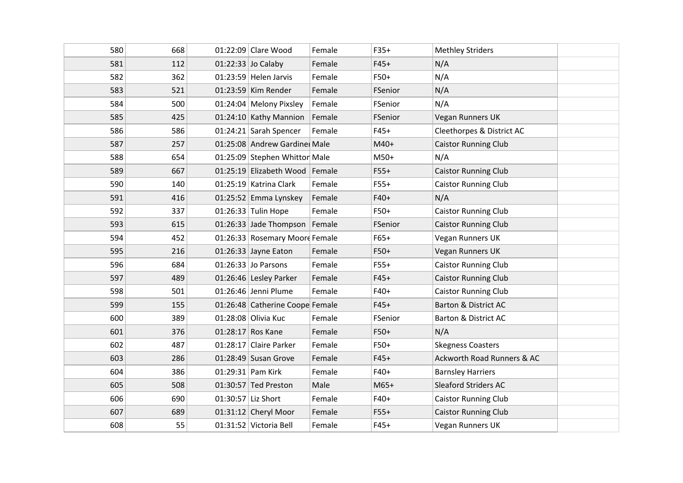| 580 | 668 | 01:22:09 Clare Wood             | Female | $F35+$  | <b>Methley Striders</b>     |  |
|-----|-----|---------------------------------|--------|---------|-----------------------------|--|
| 581 | 112 | 01:22:33 Jo Calaby              | Female | $F45+$  | N/A                         |  |
| 582 | 362 | $01:23:59$ Helen Jarvis         | Female | $F50+$  | N/A                         |  |
| 583 | 521 | $01:23:59$ Kim Render           | Female | FSenior | N/A                         |  |
| 584 | 500 | 01:24:04 Melony Pixsley         | Female | FSenior | N/A                         |  |
| 585 | 425 | $01:24:10$ Kathy Mannion        | Female | FSenior | Vegan Runners UK            |  |
| 586 | 586 | 01:24:21 Sarah Spencer          | Female | $F45+$  | Cleethorpes & District AC   |  |
| 587 | 257 | 01:25:08 Andrew Gardine Male    |        | $M40+$  | <b>Caistor Running Club</b> |  |
| 588 | 654 | 01:25:09 Stephen Whittor Male   |        | $M50+$  | N/A                         |  |
| 589 | 667 | 01:25:19 Elizabeth Wood Female  |        | $F55+$  | <b>Caistor Running Club</b> |  |
| 590 | 140 | 01:25:19 Katrina Clark          | Female | $F55+$  | <b>Caistor Running Club</b> |  |
| 591 | 416 | 01:25:52 Emma Lynskey           | Female | $F40+$  | N/A                         |  |
| 592 | 337 | $01:26:33$ Tulin Hope           | Female | $F50+$  | <b>Caistor Running Club</b> |  |
| 593 | 615 | 01:26:33 Jade Thompson   Female |        | FSenior | <b>Caistor Running Club</b> |  |
| 594 | 452 | 01:26:33 Rosemary Moore Female  |        | $F65+$  | Vegan Runners UK            |  |
| 595 | 216 | 01:26:33 Jayne Eaton            | Female | $F50+$  | Vegan Runners UK            |  |
| 596 | 684 | $01:26:33$ Jo Parsons           | Female | $F55+$  | <b>Caistor Running Club</b> |  |
| 597 | 489 | 01:26:46 Lesley Parker          | Female | $F45+$  | <b>Caistor Running Club</b> |  |
| 598 | 501 | 01:26:46 Jenni Plume            | Female | $F40+$  | <b>Caistor Running Club</b> |  |
| 599 | 155 | 01:26:48 Catherine Coope Female |        | $F45+$  | Barton & District AC        |  |
| 600 | 389 | 01:28:08 Olivia Kuc             | Female | FSenior | Barton & District AC        |  |
| 601 | 376 | 01:28:17 Ros Kane               | Female | $F50+$  | N/A                         |  |
| 602 | 487 | 01:28:17 Claire Parker          | Female | $F50+$  | <b>Skegness Coasters</b>    |  |
| 603 | 286 | $01:28:49$ Susan Grove          | Female | $F45+$  | Ackworth Road Runners & AC  |  |
| 604 | 386 | 01:29:31 Pam Kirk               | Female | $F40+$  | <b>Barnsley Harriers</b>    |  |
| 605 | 508 | 01:30:57 Ted Preston            | Male   | $M65+$  | <b>Sleaford Striders AC</b> |  |
| 606 | 690 | 01:30:57 Liz Short              | Female | $F40+$  | <b>Caistor Running Club</b> |  |
| 607 | 689 | 01:31:12 Cheryl Moor            | Female | $F55+$  | <b>Caistor Running Club</b> |  |
| 608 | 55  | 01:31:52 Victoria Bell          | Female | $F45+$  | Vegan Runners UK            |  |